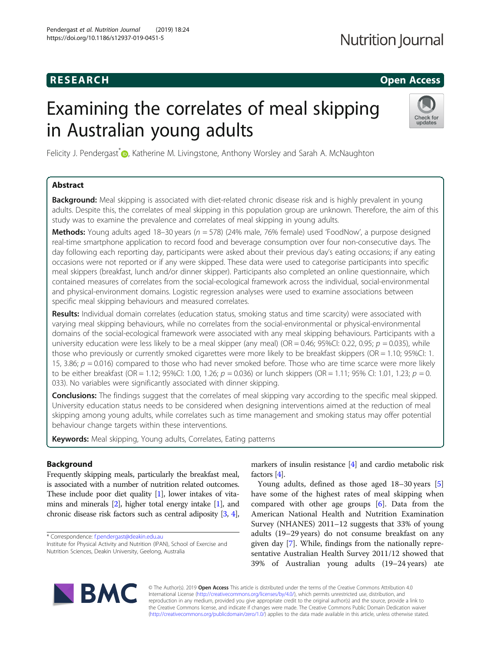# **RESEARCH CHILD CONTROL** CONTROL CONTROL CONTROL CONTROL CONTROL CONTROL CONTROL CONTROL CONTROL CONTROL CONTROL CONTROL CONTROL CONTROL CONTROL CONTROL CONTROL CONTROL CONTROL CONTROL CONTROL CONTROL CONTROL CONTROL CONTR

# Examining the correlates of meal skipping in Australian young adults



Felicity J. Pendergast\*<sup>®</sup>[,](http://orcid.org/0000-0003-0550-397X) Katherine M. Livingstone, Anthony Worsley and Sarah A. McNaughton

# Abstract

**Background:** Meal skipping is associated with diet-related chronic disease risk and is highly prevalent in young adults. Despite this, the correlates of meal skipping in this population group are unknown. Therefore, the aim of this study was to examine the prevalence and correlates of meal skipping in young adults.

**Methods:** Young adults aged 18–30 years ( $n = 578$ ) (24% male, 76% female) used 'FoodNow', a purpose designed real-time smartphone application to record food and beverage consumption over four non-consecutive days. The day following each reporting day, participants were asked about their previous day's eating occasions; if any eating occasions were not reported or if any were skipped. These data were used to categorise participants into specific meal skippers (breakfast, lunch and/or dinner skipper). Participants also completed an online questionnaire, which contained measures of correlates from the social-ecological framework across the individual, social-environmental and physical-environment domains. Logistic regression analyses were used to examine associations between specific meal skipping behaviours and measured correlates.

Results: Individual domain correlates (education status, smoking status and time scarcity) were associated with varying meal skipping behaviours, while no correlates from the social-environmental or physical-environmental domains of the social-ecological framework were associated with any meal skipping behaviours. Participants with a university education were less likely to be a meal skipper (any meal) (OR = 0.46; 95%CI: 0.22, 0.95;  $p = 0.035$ ), while those who previously or currently smoked cigarettes were more likely to be breakfast skippers (OR = 1.10; 95%CI: 1. 15, 3.86;  $p = 0.016$ ) compared to those who had never smoked before. Those who are time scarce were more likely to be either breakfast (OR = 1.12; 95%CI: 1.00, 1.26;  $p = 0.036$ ) or lunch skippers (OR = 1.11; 95% CI: 1.01, 1.23;  $p = 0$ . 033). No variables were significantly associated with dinner skipping.

Conclusions: The findings suggest that the correlates of meal skipping vary according to the specific meal skipped. University education status needs to be considered when designing interventions aimed at the reduction of meal skipping among young adults, while correlates such as time management and smoking status may offer potential behaviour change targets within these interventions.

Keywords: Meal skipping, Young adults, Correlates, Eating patterns

# Background

Frequently skipping meals, particularly the breakfast meal, is associated with a number of nutrition related outcomes. These include poor diet quality [[1](#page-8-0)], lower intakes of vitamins and minerals [\[2](#page-8-0)], higher total energy intake [\[1](#page-8-0)], and chronic disease risk factors such as central adiposity [[3](#page-8-0), [4](#page-8-0)],

\* Correspondence: [f.pendergast@deakin.edu.au](mailto:f.pendergast@deakin.edu.au)

Institute for Physical Activity and Nutrition (IPAN), School of Exercise and Nutrition Sciences, Deakin University, Geelong, Australia

markers of insulin resistance [[4](#page-8-0)] and cardio metabolic risk factors [\[4](#page-8-0)].

Young adults, defined as those aged 18–30 years [\[5](#page-8-0)] have some of the highest rates of meal skipping when compared with other age groups [[6\]](#page-8-0). Data from the American National Health and Nutrition Examination Survey (NHANES) 2011–12 suggests that 33% of young adults (19–29 years) do not consume breakfast on any given day [\[7](#page-8-0)]. While, findings from the nationally representative Australian Health Survey 2011/12 showed that 39% of Australian young adults (19–24 years) ate



© The Author(s). 2019 Open Access This article is distributed under the terms of the Creative Commons Attribution 4.0 International License [\(http://creativecommons.org/licenses/by/4.0/](http://creativecommons.org/licenses/by/4.0/)), which permits unrestricted use, distribution, and reproduction in any medium, provided you give appropriate credit to the original author(s) and the source, provide a link to the Creative Commons license, and indicate if changes were made. The Creative Commons Public Domain Dedication waiver [\(http://creativecommons.org/publicdomain/zero/1.0/](http://creativecommons.org/publicdomain/zero/1.0/)) applies to the data made available in this article, unless otherwise stated.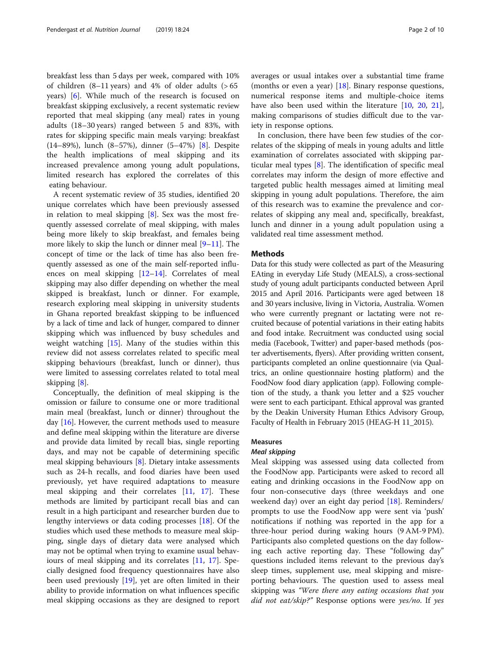breakfast less than 5 days per week, compared with 10% of children  $(8-11 \text{ years})$  and 4% of older adults  $(>65$ years) [[6\]](#page-8-0). While much of the research is focused on breakfast skipping exclusively, a recent systematic review reported that meal skipping (any meal) rates in young adults (18–30 years) ranged between 5 and 83%, with rates for skipping specific main meals varying: breakfast (14–89%), lunch (8–57%), dinner (5–47%) [[8\]](#page-8-0). Despite the health implications of meal skipping and its increased prevalence among young adult populations, limited research has explored the correlates of this eating behaviour.

A recent systematic review of 35 studies, identified 20 unique correlates which have been previously assessed in relation to meal skipping [\[8](#page-8-0)]. Sex was the most frequently assessed correlate of meal skipping, with males being more likely to skip breakfast, and females being more likely to skip the lunch or dinner meal [\[9](#page-8-0)–[11](#page-8-0)]. The concept of time or the lack of time has also been frequently assessed as one of the main self-reported influences on meal skipping [[12](#page-8-0)–[14](#page-8-0)]. Correlates of meal skipping may also differ depending on whether the meal skipped is breakfast, lunch or dinner. For example, research exploring meal skipping in university students in Ghana reported breakfast skipping to be influenced by a lack of time and lack of hunger, compared to dinner skipping which was influenced by busy schedules and weight watching [\[15](#page-8-0)]. Many of the studies within this review did not assess correlates related to specific meal skipping behaviours (breakfast, lunch or dinner), thus were limited to assessing correlates related to total meal skipping [\[8](#page-8-0)].

Conceptually, the definition of meal skipping is the omission or failure to consume one or more traditional main meal (breakfast, lunch or dinner) throughout the day [[16\]](#page-8-0). However, the current methods used to measure and define meal skipping within the literature are diverse and provide data limited by recall bias, single reporting days, and may not be capable of determining specific meal skipping behaviours [\[8](#page-8-0)]. Dietary intake assessments such as 24-h recalls, and food diaries have been used previously, yet have required adaptations to measure meal skipping and their correlates [\[11](#page-8-0), [17\]](#page-8-0). These methods are limited by participant recall bias and can result in a high participant and researcher burden due to lengthy interviews or data coding processes [[18\]](#page-8-0). Of the studies which used these methods to measure meal skipping, single days of dietary data were analysed which may not be optimal when trying to examine usual behaviours of meal skipping and its correlates [[11](#page-8-0), [17\]](#page-8-0). Specially designed food frequency questionnaires have also been used previously [\[19\]](#page-8-0), yet are often limited in their ability to provide information on what influences specific meal skipping occasions as they are designed to report averages or usual intakes over a substantial time frame (months or even a year) [\[18](#page-8-0)]. Binary response questions, numerical response items and multiple-choice items have also been used within the literature [[10,](#page-8-0) [20,](#page-8-0) [21](#page-8-0)], making comparisons of studies difficult due to the variety in response options.

In conclusion, there have been few studies of the correlates of the skipping of meals in young adults and little examination of correlates associated with skipping particular meal types [\[8](#page-8-0)]. The identification of specific meal correlates may inform the design of more effective and targeted public health messages aimed at limiting meal skipping in young adult populations. Therefore, the aim of this research was to examine the prevalence and correlates of skipping any meal and, specifically, breakfast, lunch and dinner in a young adult population using a validated real time assessment method.

# Methods

Data for this study were collected as part of the Measuring EAting in everyday Life Study (MEALS), a cross-sectional study of young adult participants conducted between April 2015 and April 2016. Participants were aged between 18 and 30 years inclusive, living in Victoria, Australia. Women who were currently pregnant or lactating were not recruited because of potential variations in their eating habits and food intake. Recruitment was conducted using social media (Facebook, Twitter) and paper-based methods (poster advertisements, flyers). After providing written consent, participants completed an online questionnaire (via Qualtrics, an online questionnaire hosting platform) and the FoodNow food diary application (app). Following completion of the study, a thank you letter and a \$25 voucher were sent to each participant. Ethical approval was granted by the Deakin University Human Ethics Advisory Group, Faculty of Health in February 2015 (HEAG-H 11\_2015).

# Measures

# Meal skipping

Meal skipping was assessed using data collected from the FoodNow app. Participants were asked to record all eating and drinking occasions in the FoodNow app on four non-consecutive days (three weekdays and one weekend day) over an eight day period [[18\]](#page-8-0). Reminders/ prompts to use the FoodNow app were sent via 'push' notifications if nothing was reported in the app for a three-hour period during waking hours (9 AM-9 PM). Participants also completed questions on the day following each active reporting day. These "following day" questions included items relevant to the previous day's sleep times, supplement use, meal skipping and misreporting behaviours. The question used to assess meal skipping was "Were there any eating occasions that you did not eat/skip?" Response options were yes/no. If yes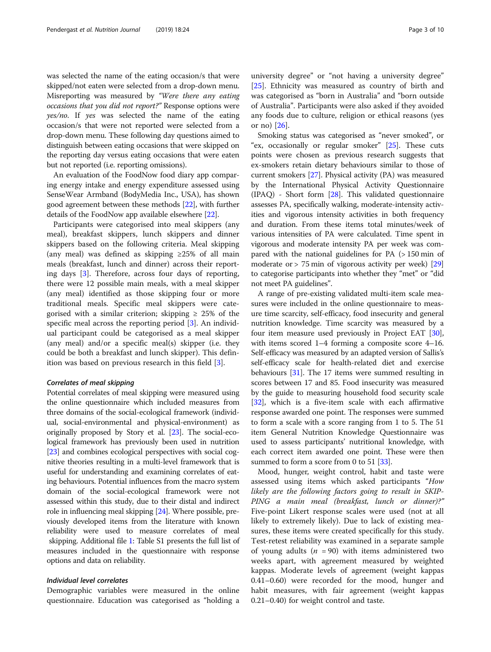was selected the name of the eating occasion/s that were skipped/not eaten were selected from a drop-down menu. Misreporting was measured by "Were there any eating occasions that you did not report?" Response options were yes/no. If yes was selected the name of the eating occasion/s that were not reported were selected from a drop-down menu. These following day questions aimed to distinguish between eating occasions that were skipped on the reporting day versus eating occasions that were eaten but not reported (i.e. reporting omissions).

An evaluation of the FoodNow food diary app comparing energy intake and energy expenditure assessed using SenseWear Armband (BodyMedia Inc., USA), has shown good agreement between these methods [\[22](#page-9-0)], with further details of the FoodNow app available elsewhere [\[22\]](#page-9-0).

Participants were categorised into meal skippers (any meal), breakfast skippers, lunch skippers and dinner skippers based on the following criteria. Meal skipping (any meal) was defined as skipping  $\geq 25\%$  of all main meals (breakfast, lunch and dinner) across their reporting days [\[3](#page-8-0)]. Therefore, across four days of reporting, there were 12 possible main meals, with a meal skipper (any meal) identified as those skipping four or more traditional meals. Specific meal skippers were categorised with a similar criterion; skipping  $\geq 25\%$  of the specific meal across the reporting period [\[3](#page-8-0)]. An individual participant could be categorised as a meal skipper (any meal) and/or a specific meal(s) skipper (i.e. they could be both a breakfast and lunch skipper). This definition was based on previous research in this field [[3\]](#page-8-0).

# Correlates of meal skipping

Potential correlates of meal skipping were measured using the online questionnaire which included measures from three domains of the social-ecological framework (individual, social-environmental and physical-environment) as originally proposed by Story et al. [\[23](#page-9-0)]. The social-ecological framework has previously been used in nutrition [[23](#page-9-0)] and combines ecological perspectives with social cognitive theories resulting in a multi-level framework that is useful for understanding and examining correlates of eating behaviours. Potential influences from the macro system domain of the social-ecological framework were not assessed within this study, due to their distal and indirect role in influencing meal skipping [[24](#page-9-0)]. Where possible, previously developed items from the literature with known reliability were used to measure correlates of meal skipping. Additional file [1](#page-8-0): Table S1 presents the full list of measures included in the questionnaire with response options and data on reliability.

# Individual level correlates

Demographic variables were measured in the online questionnaire. Education was categorised as "holding a

university degree" or "not having a university degree" [[25\]](#page-9-0). Ethnicity was measured as country of birth and was categorised as "born in Australia" and "born outside of Australia". Participants were also asked if they avoided any foods due to culture, religion or ethical reasons (yes or no) [\[26](#page-9-0)].

Smoking status was categorised as "never smoked", or "ex, occasionally or regular smoker" [\[25\]](#page-9-0). These cuts points were chosen as previous research suggests that ex-smokers retain dietary behaviours similar to those of current smokers [[27](#page-9-0)]. Physical activity (PA) was measured by the International Physical Activity Questionnaire (IPAQ) - Short form [\[28\]](#page-9-0). This validated questionnaire assesses PA, specifically walking, moderate-intensity activities and vigorous intensity activities in both frequency and duration. From these items total minutes/week of various intensities of PA were calculated. Time spent in vigorous and moderate intensity PA per week was compared with the national guidelines for PA (> 150 min of moderate or > 75 min of vigorous activity per week) [[29](#page-9-0)] to categorise participants into whether they "met" or "did not meet PA guidelines".

A range of pre-existing validated multi-item scale measures were included in the online questionnaire to measure time scarcity, self-efficacy, food insecurity and general nutrition knowledge. Time scarcity was measured by a four item measure used previously in Project EAT [[30](#page-9-0)], with items scored 1–4 forming a composite score 4–16. Self-efficacy was measured by an adapted version of Sallis's self-efficacy scale for health-related diet and exercise behaviours [[31](#page-9-0)]. The 17 items were summed resulting in scores between 17 and 85. Food insecurity was measured by the guide to measuring household food security scale [[32](#page-9-0)], which is a five-item scale with each affirmative response awarded one point. The responses were summed to form a scale with a score ranging from 1 to 5. The 51 item General Nutrition Knowledge Questionnaire was used to assess participants' nutritional knowledge, with each correct item awarded one point. These were then summed to form a score from 0 to 51 [\[33\]](#page-9-0).

Mood, hunger, weight control, habit and taste were assessed using items which asked participants "How likely are the following factors going to result in SKIP-PING a main meal (breakfast, lunch or dinner)?" Five-point Likert response scales were used (not at all likely to extremely likely). Due to lack of existing measures, these items were created specifically for this study. Test-retest reliability was examined in a separate sample of young adults ( $n = 90$ ) with items administered two weeks apart, with agreement measured by weighted kappas. Moderate levels of agreement (weight kappas 0.41–0.60) were recorded for the mood, hunger and habit measures, with fair agreement (weight kappas 0.21–0.40) for weight control and taste.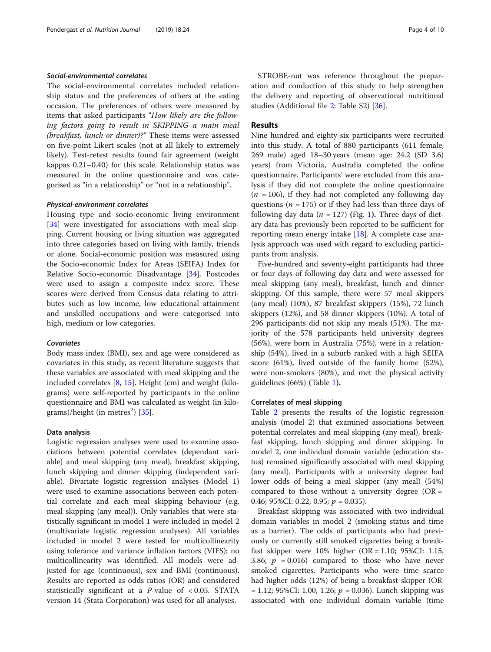# Social-environmental correlates

The social-environmental correlates included relationship status and the preferences of others at the eating occasion. The preferences of others were measured by items that asked participants "How likely are the following factors going to result in SKIPPING a main meal (breakfast, lunch or dinner)?" These items were assessed on five-point Likert scales (not at all likely to extremely likely). Test-retest results found fair agreement (weight kappas 0.21–0.40) for this scale. Relationship status was measured in the online questionnaire and was categorised as "in a relationship" or "not in a relationship".

# Physical-environment correlates

Housing type and socio-economic living environment [[34\]](#page-9-0) were investigated for associations with meal skipping. Current housing or living situation was aggregated into three categories based on living with family, friends or alone. Social-economic position was measured using the Socio-economic Index for Areas (SEIFA) Index for Relative Socio-economic Disadvantage [\[34\]](#page-9-0). Postcodes were used to assign a composite index score. These scores were derived from Census data relating to attributes such as low income, low educational attainment and unskilled occupations and were categorised into high, medium or low categories.

# **Covariates**

Body mass index (BMI), sex and age were considered as covariates in this study, as recent literature suggests that these variables are associated with meal skipping and the included correlates  $[8, 15]$  $[8, 15]$  $[8, 15]$  $[8, 15]$ . Height (cm) and weight (kilograms) were self-reported by participants in the online questionnaire and BMI was calculated as weight (in kilograms)/height (in metres $^2$ ) [\[35](#page-9-0)].

# Data analysis

Logistic regression analyses were used to examine associations between potential correlates (dependant variable) and meal skipping (any meal), breakfast skipping, lunch skipping and dinner skipping (independent variable). Bivariate logistic regression analyses (Model 1) were used to examine associations between each potential correlate and each meal skipping behaviour (e.g. meal skipping (any meal)). Only variables that were statistically significant in model 1 were included in model 2 (multivariate logistic regression analyses). All variables included in model 2 were tested for multicollinearity using tolerance and variance inflation factors (VIFS); no multicollinearity was identified. All models were adjusted for age (continuous), sex and BMI (continuous). Results are reported as odds ratios (OR) and considered statistically significant at a *P*-value of  $< 0.05$ . STATA version 14 (Stata Corporation) was used for all analyses.

STROBE-nut was reference throughout the preparation and conduction of this study to help strengthen the delivery and reporting of observational nutritional studies (Additional file [2](#page-8-0): Table S2) [[36](#page-9-0)].

# Results

Nine hundred and eighty-six participants were recruited into this study. A total of 880 participants (611 female, 269 male) aged 18–30 years (mean age: 24.2 (SD 3.6) years) from Victoria, Australia completed the online questionnaire. Participants' were excluded from this analysis if they did not complete the online questionnaire  $(n = 106)$ , if they had not completed any following day questions ( $n = 175$ ) or if they had less than three days of following day data ( $n = 127$  $n = 127$  $n = 127$ ) (Fig. 1). Three days of dietary data has previously been reported to be sufficient for reporting mean energy intake  $[18]$ . A complete case analysis approach was used with regard to excluding participants from analysis.

Five-hundred and seventy-eight participants had three or four days of following day data and were assessed for meal skipping (any meal), breakfast, lunch and dinner skipping. Of this sample, there were 57 meal skippers (any meal) (10%), 87 breakfast skippers (15%), 72 lunch skippers (12%), and 58 dinner skippers (10%). A total of 296 participants did not skip any meals (51%). The majority of the 578 participants held university degrees (56%), were born in Australia (75%), were in a relationship (54%), lived in a suburb ranked with a high SEIFA score (61%), lived outside of the family home (52%), were non-smokers (80%), and met the physical activity guidelines (66%) (Table [1](#page-5-0)).

## Correlates of meal skipping

Table [2](#page-6-0) presents the results of the logistic regression analysis (model 2) that examined associations between potential correlates and meal skipping (any meal), breakfast skipping, lunch skipping and dinner skipping. In model 2, one individual domain variable (education status) remained significantly associated with meal skipping (any meal). Participants with a university degree had lower odds of being a meal skipper (any meal) (54%) compared to those without a university degree  $(OR =$ 0.46; 95%CI: 0.22, 0.95;  $p = 0.035$ ).

Breakfast skipping was associated with two individual domain variables in model 2 (smoking status and time as a barrier). The odds of participants who had previously or currently still smoked cigarettes being a breakfast skipper were 10% higher (OR = 1.10; 95%CI: 1.15, 3.86;  $p = 0.016$ ) compared to those who have never smoked cigarettes. Participants who were time scarce had higher odds (12%) of being a breakfast skipper (OR  $= 1.12$ ; 95%CI: 1.00, 1.26;  $p = 0.036$ ). Lunch skipping was associated with one individual domain variable (time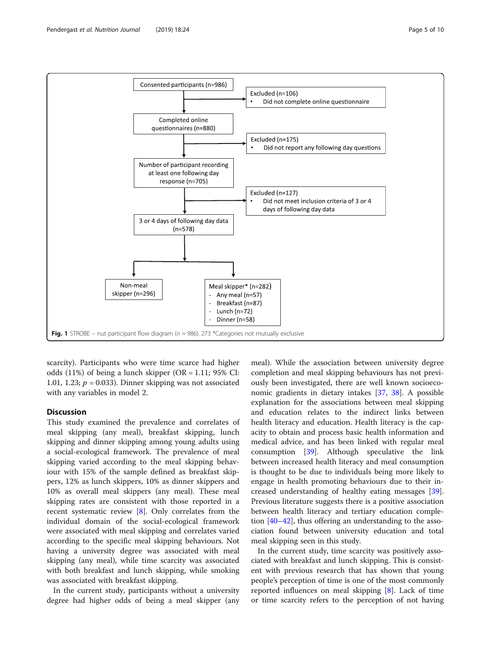<span id="page-4-0"></span>

scarcity). Participants who were time scarce had higher odds  $(11\%)$  of being a lunch skipper  $(OR = 1.11; 95\% \text{ CI}:$ 1.01, 1.23;  $p = 0.033$ ). Dinner skipping was not associated with any variables in model 2.

# **Discussion**

This study examined the prevalence and correlates of meal skipping (any meal), breakfast skipping, lunch skipping and dinner skipping among young adults using a social-ecological framework. The prevalence of meal skipping varied according to the meal skipping behaviour with 15% of the sample defined as breakfast skippers, 12% as lunch skippers, 10% as dinner skippers and 10% as overall meal skippers (any meal). These meal skipping rates are consistent with those reported in a recent systematic review [[8\]](#page-8-0). Only correlates from the individual domain of the social-ecological framework were associated with meal skipping and correlates varied according to the specific meal skipping behaviours. Not having a university degree was associated with meal skipping (any meal), while time scarcity was associated with both breakfast and lunch skipping, while smoking was associated with breakfast skipping.

In the current study, participants without a university degree had higher odds of being a meal skipper (any

meal). While the association between university degree completion and meal skipping behaviours has not previously been investigated, there are well known socioeconomic gradients in dietary intakes [\[37](#page-9-0), [38\]](#page-9-0). A possible explanation for the associations between meal skipping and education relates to the indirect links between health literacy and education. Health literacy is the capacity to obtain and process basic health information and medical advice, and has been linked with regular meal consumption [[39](#page-9-0)]. Although speculative the link between increased health literacy and meal consumption is thought to be due to individuals being more likely to engage in health promoting behaviours due to their increased understanding of healthy eating messages [\[39](#page-9-0)]. Previous literature suggests there is a positive association between health literacy and tertiary education completion [\[40](#page-9-0)–[42\]](#page-9-0), thus offering an understanding to the association found between university education and total meal skipping seen in this study.

In the current study, time scarcity was positively associated with breakfast and lunch skipping. This is consistent with previous research that has shown that young people's perception of time is one of the most commonly reported influences on meal skipping [[8\]](#page-8-0). Lack of time or time scarcity refers to the perception of not having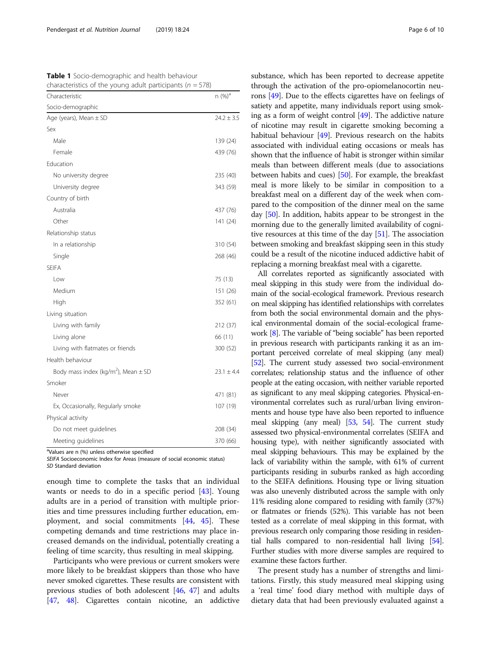<span id="page-5-0"></span>Table 1 Socio-demographic and health behaviour characteristics of the young adult participants ( $n = 578$ )

| Characteristic                                      | n (%) <sup>a</sup> |
|-----------------------------------------------------|--------------------|
| Socio-demographic                                   |                    |
| Age (years), Mean ± SD                              | $24.2 \pm 3.5$     |
| Sex                                                 |                    |
| Male                                                | 139 (24)           |
| Female                                              | 439 (76)           |
| Education                                           |                    |
| No university degree                                | 235 (40)           |
| University degree                                   | 343 (59)           |
| Country of birth                                    |                    |
| Australia                                           | 437 (76)           |
| Other                                               | 141 (24)           |
| Relationship status                                 |                    |
| In a relationship                                   | 310 (54)           |
| Single                                              | 268 (46)           |
| <b>SEIFA</b>                                        |                    |
| Low                                                 | 75 (13)            |
| Medium                                              | 151 (26)           |
| High                                                | 352 (61)           |
| Living situation                                    |                    |
| Living with family                                  | 212 (37)           |
| Living alone                                        | 66 (11)            |
| Living with flatmates or friends                    | 300 (52)           |
| Health behaviour                                    |                    |
| Body mass index (kg/m <sup>2</sup> ), Mean $\pm$ SD | $23.1 \pm 4.4$     |
| Smoker                                              |                    |
| Never                                               | 471 (81)           |
| Ex, Occasionally, Regularly smoke                   | 107 (19)           |
| Physical activity                                   |                    |
| Do not meet guidelines                              | 208 (34)           |
| Meeting guidelines                                  | 370 (66)           |

<sup>a</sup>Values are n (%) unless otherwise specified

SEIFA Socioeconomic Index for Areas (measure of social economic status) SD Standard deviation

enough time to complete the tasks that an individual wants or needs to do in a specific period [\[43\]](#page-9-0). Young adults are in a period of transition with multiple priorities and time pressures including further education, employment, and social commitments [\[44](#page-9-0), [45\]](#page-9-0). These competing demands and time restrictions may place increased demands on the individual, potentially creating a feeling of time scarcity, thus resulting in meal skipping.

Participants who were previous or current smokers were more likely to be breakfast skippers than those who have never smoked cigarettes. These results are consistent with previous studies of both adolescent [\[46,](#page-9-0) [47](#page-9-0)] and adults [[47](#page-9-0), [48](#page-9-0)]. Cigarettes contain nicotine, an addictive substance, which has been reported to decrease appetite through the activation of the pro-opiomelanocortin neurons [[49](#page-9-0)]. Due to the effects cigarettes have on feelings of satiety and appetite, many individuals report using smoking as a form of weight control [\[49\]](#page-9-0). The addictive nature of nicotine may result in cigarette smoking becoming a habitual behaviour [[49\]](#page-9-0). Previous research on the habits associated with individual eating occasions or meals has shown that the influence of habit is stronger within similar meals than between different meals (due to associations between habits and cues) [\[50\]](#page-9-0). For example, the breakfast meal is more likely to be similar in composition to a breakfast meal on a different day of the week when compared to the composition of the dinner meal on the same day [[50\]](#page-9-0). In addition, habits appear to be strongest in the morning due to the generally limited availability of cognitive resources at this time of the day [[51\]](#page-9-0). The association between smoking and breakfast skipping seen in this study could be a result of the nicotine induced addictive habit of replacing a morning breakfast meal with a cigarette.

All correlates reported as significantly associated with meal skipping in this study were from the individual domain of the social-ecological framework. Previous research on meal skipping has identified relationships with correlates from both the social environmental domain and the physical environmental domain of the social-ecological framework [\[8\]](#page-8-0). The variable of "being sociable" has been reported in previous research with participants ranking it as an important perceived correlate of meal skipping (any meal) [[52](#page-9-0)]. The current study assessed two social-environment correlates; relationship status and the influence of other people at the eating occasion, with neither variable reported as significant to any meal skipping categories. Physical-environmental correlates such as rural/urban living environments and house type have also been reported to influence meal skipping (any meal) [\[53,](#page-9-0) [54](#page-9-0)]. The current study assessed two physical-environmental correlates (SEIFA and housing type), with neither significantly associated with meal skipping behaviours. This may be explained by the lack of variability within the sample, with 61% of current participants residing in suburbs ranked as high according to the SEIFA definitions. Housing type or living situation was also unevenly distributed across the sample with only 11% residing alone compared to residing with family (37%) or flatmates or friends (52%). This variable has not been tested as a correlate of meal skipping in this format, with previous research only comparing those residing in residential halls compared to non-residential hall living [\[54](#page-9-0)]. Further studies with more diverse samples are required to examine these factors further.

The present study has a number of strengths and limitations. Firstly, this study measured meal skipping using a 'real time' food diary method with multiple days of dietary data that had been previously evaluated against a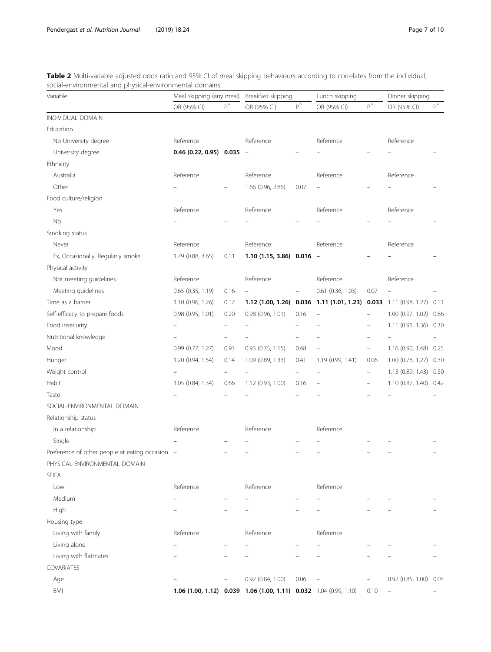<span id="page-6-0"></span>Table 2 Multi-variable adjusted odds ratio and 95% CI of meal skipping behaviours according to correlates from the individual, social-environmental and physical-environmental domains

| Variable                                        | Meal skipping (any meal)      |                          | Breakfast skipping                                                |              | Lunch skipping                                                         |                          | Dinner skipping        |              |
|-------------------------------------------------|-------------------------------|--------------------------|-------------------------------------------------------------------|--------------|------------------------------------------------------------------------|--------------------------|------------------------|--------------|
|                                                 | OR (95% CI)                   | $p^{\wedge}$             | OR (95% CI)                                                       | $P^{\wedge}$ | OR (95% CI)                                                            | $p^{\wedge}$             | OR (95% CI)            | $P^{\wedge}$ |
| <b>INDIVIDUAL DOMAIN</b>                        |                               |                          |                                                                   |              |                                                                        |                          |                        |              |
| Education                                       |                               |                          |                                                                   |              |                                                                        |                          |                        |              |
| No University degree                            | Reference                     |                          | Reference                                                         |              | Reference                                                              |                          | Reference              |              |
| University degree                               | $0.46$ (0.22, 0.95) $0.035 -$ |                          |                                                                   |              |                                                                        |                          |                        |              |
| Ethnicity                                       |                               |                          |                                                                   |              |                                                                        |                          |                        |              |
| Australia                                       | Reference                     |                          | Reference                                                         |              | Reference                                                              |                          | Reference              |              |
| Other                                           |                               |                          | 1.66 (0.96, 2.86)                                                 | 0.07         |                                                                        |                          |                        |              |
| Food culture/religion                           |                               |                          |                                                                   |              |                                                                        |                          |                        |              |
| Yes                                             | Reference                     |                          | Reference                                                         |              | Reference                                                              |                          | Reference              |              |
| No                                              |                               |                          |                                                                   |              |                                                                        |                          |                        |              |
| Smoking status                                  |                               |                          |                                                                   |              |                                                                        |                          |                        |              |
| Never                                           | Reference                     |                          | Reference                                                         |              | Reference                                                              |                          | Reference              |              |
| Ex, Occasionally, Regularly smoke               | 1.79 (0.88, 3.65)             | 0.11                     | $1.10(1.15, 3.86) 0.016 -$                                        |              |                                                                        |                          |                        |              |
| Physical activity                               |                               |                          |                                                                   |              |                                                                        |                          |                        |              |
| Not meeting guidelines                          | Reference                     |                          | Reference                                                         |              | Reference                                                              |                          | Reference              |              |
| Meeting guidelines                              | 0.65 (0.35, 1.19)             | 0.16                     |                                                                   |              | 0.61 (0.36, 1.03)                                                      | 0.07                     |                        |              |
| Time as a barrier                               | 1.10 (0.96, 1.26)             | 0.17                     |                                                                   |              | 1.12 (1.00, 1.26) 0.036 1.11 (1.01, 1.23) 0.033 1.11 (0.98, 1.27) 0.11 |                          |                        |              |
| Self-efficacy to prepare foods                  | 0.98 (0.95, 1.01)             | 0.20                     | $0.98$ (0.96, 1.01)                                               | 0.16         | ÷,                                                                     | $\overline{\phantom{0}}$ | 1.00 (0.97, 1.02)      | 0.86         |
| Food insecurity                                 |                               |                          |                                                                   |              |                                                                        |                          | 1.11(0.91, 1.36)       | 0.30         |
| Nutritional knowledge                           |                               | $\overline{\phantom{0}}$ |                                                                   |              |                                                                        |                          |                        |              |
| Mood                                            | 0.99 (0.77, 1.27)             | 0.93                     | 0.93 (0.75, 1.15)                                                 | 0.48         |                                                                        | $\overline{\phantom{0}}$ | 1.16 (0.90, 1.48)      | 0.25         |
| Hunger                                          | 1.20 (0.94, 1.54)             | 0.14                     | 1.09 (0.89, 1.33)                                                 | 0.41         | 1.19 (0.99, 1.41)                                                      | 0.06                     | 1.00 (0.78, 1.27)      | 0.30         |
| Weight control                                  |                               |                          |                                                                   |              |                                                                        | $\qquad \qquad -$        | 1.13 (0.89, 1.43) 0.30 |              |
| Habit                                           | 1.05 (0.84, 1.34)             | 0.66                     | 1.12 (0.93, 1.00)                                                 | 0.16         | $\overline{\phantom{0}}$                                               | $\overline{\phantom{0}}$ | 1.10 (0.87, 1.40) 0.42 |              |
| Taste                                           |                               |                          |                                                                   |              |                                                                        |                          |                        |              |
| SOCIAL-ENVIRONMENTAL DOMAIN                     |                               |                          |                                                                   |              |                                                                        |                          |                        |              |
| Relationship status                             |                               |                          |                                                                   |              |                                                                        |                          |                        |              |
| In a relationship                               | Reference                     |                          | Reference                                                         |              | Reference                                                              |                          |                        |              |
| Single                                          |                               |                          |                                                                   |              |                                                                        |                          |                        |              |
| Preference of other people at eating occasion - |                               |                          |                                                                   |              |                                                                        |                          |                        |              |
| PHYSICAL-ENVIRONMENTAL DOMAIN                   |                               |                          |                                                                   |              |                                                                        |                          |                        |              |
| <b>SEIFA</b>                                    |                               |                          |                                                                   |              |                                                                        |                          |                        |              |
| Low                                             | Reference                     |                          | Reference                                                         |              | Reference                                                              |                          |                        |              |
| Medium                                          |                               |                          |                                                                   |              |                                                                        |                          |                        |              |
| High                                            |                               |                          |                                                                   |              |                                                                        |                          |                        |              |
| Housing type                                    |                               |                          |                                                                   |              |                                                                        |                          |                        |              |
| Living with family                              | Reference                     |                          | Reference                                                         |              | Reference                                                              |                          |                        |              |
| Living alone                                    |                               |                          |                                                                   |              |                                                                        |                          |                        |              |
| Living with flatmates                           |                               |                          |                                                                   |              |                                                                        |                          |                        |              |
| <b>COVARIATES</b>                               |                               |                          |                                                                   |              |                                                                        |                          |                        |              |
| Age                                             |                               |                          | 0.92 (0.84, 1.00)                                                 | 0.06         |                                                                        |                          | 0.92 (0.85, 1.00) 0.05 |              |
| BMI                                             |                               |                          | 1.06 (1.00, 1.12) 0.039 1.06 (1.00, 1.11) 0.032 1.04 (0.99, 1.10) |              |                                                                        | 0.10                     | $\equiv$               |              |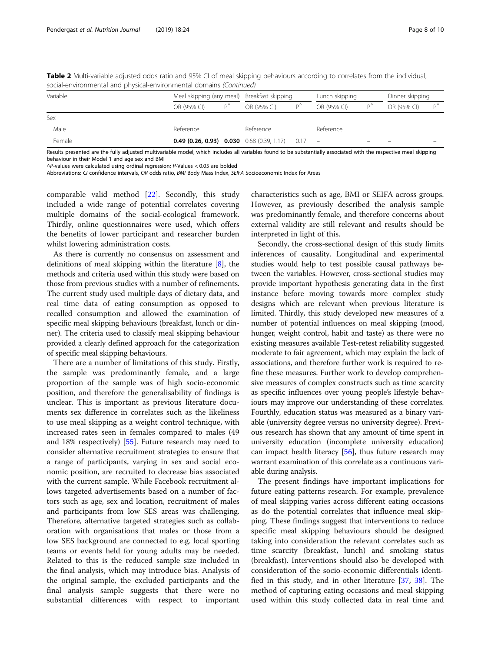| Variable |                                                  | Meal skipping (any meal) Breakfast skipping |             |                    |             | Lunch skipping |             | Dinner skipping |  |
|----------|--------------------------------------------------|---------------------------------------------|-------------|--------------------|-------------|----------------|-------------|-----------------|--|
|          | OR (95% CI)                                      |                                             | OR (95% CI) | $D^{\prime\prime}$ | OR (95% CI) |                | OR (95% CI) |                 |  |
| Sex      |                                                  |                                             |             |                    |             |                |             |                 |  |
| Male     | Reference                                        |                                             | Reference   |                    | Reference   |                |             |                 |  |
| Female   | <b>0.49 (0.26, 0.93) 0.030</b> 0.68 (0.39, 1.17) |                                             |             | 0.17               |             |                |             |                 |  |

Table 2 Multi-variable adjusted odds ratio and 95% CI of meal skipping behaviours according to correlates from the individual, social-environmental and physical-environmental domains (Continued)

Results presented are the fully adjusted multivariable model, which includes all variables found to be substantially associated with the respective meal skipping behaviour in their Model 1 and age sex and BMI

 $\wedge$ P-values were calculated using ordinal regression; P-Values < 0.05 are bolded

Abbreviations: CI confidence intervals, OR odds ratio, BMI Body Mass Index, SEIFA Socioeconomic Index for Areas

comparable valid method [[22\]](#page-9-0). Secondly, this study included a wide range of potential correlates covering multiple domains of the social-ecological framework. Thirdly, online questionnaires were used, which offers the benefits of lower participant and researcher burden whilst lowering administration costs.

As there is currently no consensus on assessment and definitions of meal skipping within the literature [\[8\]](#page-8-0), the methods and criteria used within this study were based on those from previous studies with a number of refinements. The current study used multiple days of dietary data, and real time data of eating consumption as opposed to recalled consumption and allowed the examination of specific meal skipping behaviours (breakfast, lunch or dinner). The criteria used to classify meal skipping behaviour provided a clearly defined approach for the categorization of specific meal skipping behaviours.

There are a number of limitations of this study. Firstly, the sample was predominantly female, and a large proportion of the sample was of high socio-economic position, and therefore the generalisability of findings is unclear. This is important as previous literature documents sex difference in correlates such as the likeliness to use meal skipping as a weight control technique, with increased rates seen in females compared to males (49 and 18% respectively) [[55](#page-9-0)]. Future research may need to consider alternative recruitment strategies to ensure that a range of participants, varying in sex and social economic position, are recruited to decrease bias associated with the current sample. While Facebook recruitment allows targeted advertisements based on a number of factors such as age, sex and location, recruitment of males and participants from low SES areas was challenging. Therefore, alternative targeted strategies such as collaboration with organisations that males or those from a low SES background are connected to e.g. local sporting teams or events held for young adults may be needed. Related to this is the reduced sample size included in the final analysis, which may introduce bias. Analysis of the original sample, the excluded participants and the final analysis sample suggests that there were no substantial differences with respect to important

characteristics such as age, BMI or SEIFA across groups. However, as previously described the analysis sample was predominantly female, and therefore concerns about external validity are still relevant and results should be interpreted in light of this.

Secondly, the cross-sectional design of this study limits inferences of causality. Longitudinal and experimental studies would help to test possible causal pathways between the variables. However, cross-sectional studies may provide important hypothesis generating data in the first instance before moving towards more complex study designs which are relevant when previous literature is limited. Thirdly, this study developed new measures of a number of potential influences on meal skipping (mood, hunger, weight control, habit and taste) as there were no existing measures available Test-retest reliability suggested moderate to fair agreement, which may explain the lack of associations, and therefore further work is required to refine these measures. Further work to develop comprehensive measures of complex constructs such as time scarcity as specific influences over young people's lifestyle behaviours may improve our understanding of these correlates. Fourthly, education status was measured as a binary variable (university degree versus no university degree). Previous research has shown that any amount of time spent in university education (incomplete university education) can impact health literacy [\[56](#page-9-0)], thus future research may warrant examination of this correlate as a continuous variable during analysis.

The present findings have important implications for future eating patterns research. For example, prevalence of meal skipping varies across different eating occasions as do the potential correlates that influence meal skipping. These findings suggest that interventions to reduce specific meal skipping behaviours should be designed taking into consideration the relevant correlates such as time scarcity (breakfast, lunch) and smoking status (breakfast). Interventions should also be developed with consideration of the socio-economic differentials identified in this study, and in other literature [[37](#page-9-0), [38\]](#page-9-0). The method of capturing eating occasions and meal skipping used within this study collected data in real time and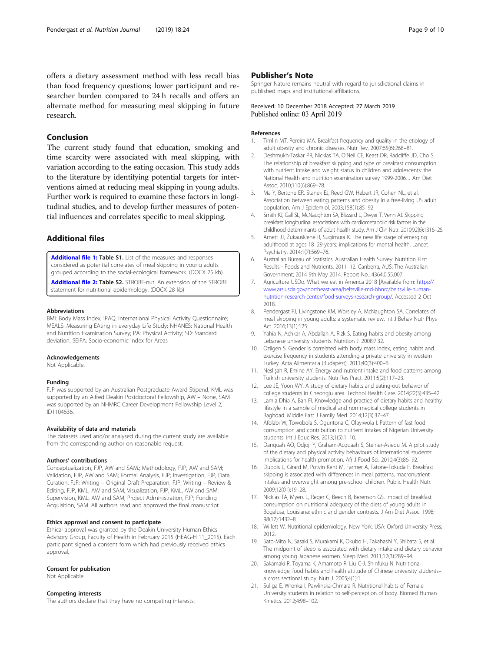<span id="page-8-0"></span>offers a dietary assessment method with less recall bias than food frequency questions; lower participant and researcher burden compared to 24 h recalls and offers an alternate method for measuring meal skipping in future research.

# Conclusion

The current study found that education, smoking and time scarcity were associated with meal skipping, with variation according to the eating occasion. This study adds to the literature by identifying potential targets for interventions aimed at reducing meal skipping in young adults. Further work is required to examine these factors in longitudinal studies, and to develop further measures of potential influences and correlates specific to meal skipping.

# Additional files

[Additional file 1:](https://doi.org/10.1186/s12937-019-0451-5) Table S1. List of the measures and responses considered as potential correlates of meal skipping in young adults grouped according to the social-ecological framework. (DOCX 25 kb)

[Additional file 2:](https://doi.org/10.1186/s12937-019-0451-5) Table S2. STROBE-nut: An extension of the STROBE statement for nutritional epidemiology. (DOCX 28 kb)

#### Abbreviations

BMI: Body Mass Index; IPAQ: International Physical Activity Questionnaire; MEALS: Measuring EAting in everyday Life Study; NHANES: National Health and Nutrition Examination Survey; PA: Physical Activity; SD: Standard deviation; SEIFA: Socio-economic Index for Areas

#### Acknowledgements

Not Applicable.

#### Funding

FJP was supported by an Australian Postgraduate Award Stipend, KML was supported by an Alfred Deakin Postdoctoral Fellowship, AW – None, SAM was supported by an NHMRC Career Development Fellowship Level 2, ID1104636.

#### Availability of data and materials

The datasets used and/or analysed during the current study are available from the corresponding author on reasonable request.

#### Authors' contributions

Conceptualization, FJP, AW and SAM.; Methodology, FJP, AW and SAM; Validation, FJP, AW and SAM; Formal Analysis, FJP; Investigation, FJP; Data Curation, FJP; Writing – Original Draft Preparation, FJP; Writing – Review & Editing, FJP, KML, AW and SAM; Visualization, FJP, KML, AW and SAM; Supervision, KML, AW and SAM; Project Administration, FJP; Funding Acquisition, SAM. All authors read and approved the final manuscript.

# Ethics approval and consent to participate

Ethical approval was granted by the Deakin University Human Ethics Advisory Group, Faculty of Health in February 2015 (HEAG-H 11\_2015). Each participant signed a consent form which had previously received ethics approval.

#### Consent for publication

Not Applicable.

# Competing interests

The authors declare that they have no competing interests.

# Publisher's Note

Springer Nature remains neutral with regard to jurisdictional claims in published maps and institutional affiliations.

# Received: 10 December 2018 Accepted: 27 March 2019 Published online: 03 April 2019

#### References

- Timlin MT, Pereira MA. Breakfast frequency and quality in the etiology of adult obesity and chronic diseases. Nutr Rev. 2007;65(6):268–81.
- 2. Deshmukh-Taskar PR, Nicklas TA, O'Neil CE, Keast DR, Radcliffe JD, Cho S. The relationship of breakfast skipping and type of breakfast consumption with nutrient intake and weight status in children and adolescents: the National Health and nutrition examination survey 1999-2006. J Am Diet Assoc. 2010;110(6):869–78.
- 3. Ma Y, Bertone ER, Stanek EJ, Reed GW, Hebert JR, Cohen NL, et al. Association between eating patterns and obesity in a free-living US adult population. Am J Epidemiol. 2003;158(1):85–92.
- 4. Smith KJ, Gall SL, McNaughton SA, Blizzard L, Dwyer T, Venn AJ. Skipping breakfast: longitudinal associations with cardiometabolic risk factors in the childhood determinants of adult health study. Am J Clin Nutr. 2010;92(6):1316–25.
- 5. Arnett JJ, Žukauskienė R, Sugimura K. The new life stage of emerging adulthood at ages 18–29 years: implications for mental health. Lancet Psychiatry. 2014;1(7):569–76.
- 6. Australian Bureau of Statistics. Australian Health Survey: Nutrition First Results - Foods and Nutrients, 2011–12. Canberra, AUS: The Australian Government; 2014 9th May 2014. Report No.: 4364.0.55.007.
- 7. Agriculture USDo. What we eat in America 2018 [Available from: [https://](https://www.ars.usda.gov/northeast-area/beltsville-md-bhnrc/beltsville-human-nutrition-research-center/food-surveys-research-group/) [www.ars.usda.gov/northeast-area/beltsville-md-bhnrc/beltsville-human](https://www.ars.usda.gov/northeast-area/beltsville-md-bhnrc/beltsville-human-nutrition-research-center/food-surveys-research-group/)[nutrition-research-center/food-surveys-research-group/.](https://www.ars.usda.gov/northeast-area/beltsville-md-bhnrc/beltsville-human-nutrition-research-center/food-surveys-research-group/) Accessed 2 Oct 2018.
- 8. Pendergast FJ, Livingstone KM, Worsley A, McNaughton SA. Correlates of meal skipping in young adults: a systematic review. Int J Behav Nutr Phys Act. 2016;13(1):125.
- Yahia N, Achkar A, Abdallah A, Rizk S. Eating habits and obesity among Lebanese university students. Nutrition J. 2008;7:32.
- 10. Ozilgen S. Gender is correlated with body mass index, eating habits and exercise frequency in students attending a private university in western Turkey. Acta Alimentaria (Budapest). 2011;40(3):400–6.
- 11. Neslişah R, Emine AY. Energy and nutrient intake and food patterns among Turkish university students. Nutr Res Pract. 2011;5(2):117–23.
- 12. Lee JE, Yoon WY. A study of dietary habits and eating-out behavior of college students in Cheongju area. Technol Health Care. 2014;22(3):435–42.
- 13. Lamia Dhia A, Ban FI. Knowledge and practice of dietary habits and healthy lifestyle in a sample of medical and non medical college students in Baghdad. Middle East J Family Med. 2014;12(3):37–47.
- 14. Afolabi W, Towobola S, Oguntona C, Olayiwola I. Pattern of fast food consumption and contribution to nutrient intakes of Nigerian University students. Int J Educ Res. 2013;1(5):1–10.
- 15. Danquah AO, Odjoji Y, Graham-Acquaah S, Steiner-Asiedu M. A pilot study of the dietary and physical activity behaviours of international students: implications for health promotion. Afr J Food Sci. 2010;4(3):86–92.
- 16. Dubois L, Girard M, Potvin Kent M, Farmer A, Tatone-Tokuda F. Breakfast skipping is associated with differences in meal patterns, macronutrient intakes and overweight among pre-school children. Public Health Nutr. 2009;12(01):19–28.
- 17. Nicklas TA, Myers L, Reger C, Beech B, Berenson GS. Impact of breakfast consumption on nutritional adequacy of the diets of young adults in Bogalusa, Louisiana: ethnic and gender contrasts. J Am Diet Assoc. 1998; 98(12):1432–8.
- 18. Willett W. Nutritional epidemiology. New York, USA: Oxford University Press; 2012.
- 19. Sato-Mito N, Sasaki S, Murakami K, Okubo H, Takahashi Y, Shibata S, et al. The midpoint of sleep is associated with dietary intake and dietary behavior among young Japanese women. Sleep Med. 2011;12(3):289–94.
- 20. Sakamaki R, Toyama K, Amamoto R, Liu C-J, Shinfuku N. Nutritional knowledge, food habits and health attitude of Chinese university students– a cross sectional study. Nutr J. 2005;4(1):1.
- 21. Suliga E, Wronka I, Pawlinska-Chmara R. Nutritional habits of Female University students in relation to self-perception of body. Biomed Human Kinetics. 2012;4:98–102.